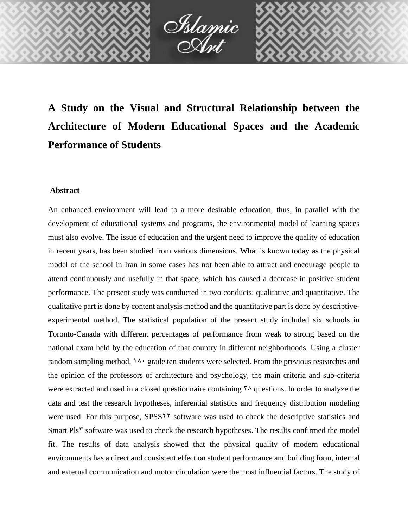

**A Study on the Visual and Structural Relationship between the Architecture of Modern Educational Spaces and the Academic Performance of Students**

# **Abstract**

An enhanced environment will lead to a more desirable education, thus, in parallel with the development of educational systems and programs, the environmental model of learning spaces must also evolve. The issue of education and the urgent need to improve the quality of education in recent years, has been studied from various dimensions. What is known today as the physical model of the school in Iran in some cases has not been able to attract and encourage people to attend continuously and usefully in that space, which has caused a decrease in positive student performance. The present study was conducted in two conducts: qualitative and quantitative. The qualitative part is done by content analysis method and the quantitative part is done by descriptiveexperimental method. The statistical population of the present study included six schools in Toronto-Canada with different percentages of performance from weak to strong based on the national exam held by the education of that country in different neighborhoods. Using a cluster random sampling method,  $14 \cdot$  grade ten students were selected. From the previous researches and the opinion of the professors of architecture and psychology, the main criteria and sub-criteria were extracted and used in a closed questionnaire containing  $\alpha$  questions. In order to analyze the data and test the research hypotheses, inferential statistics and frequency distribution modeling were used. For this purpose, SPSS<sup>11</sup> software was used to check the descriptive statistics and Smart Pls<sup>†</sup> software was used to check the research hypotheses. The results confirmed the model fit. The results of data analysis showed that the physical quality of modern educational environments has a direct and consistent effect on student performance and building form, internal and external communication and motor circulation were the most influential factors. The study of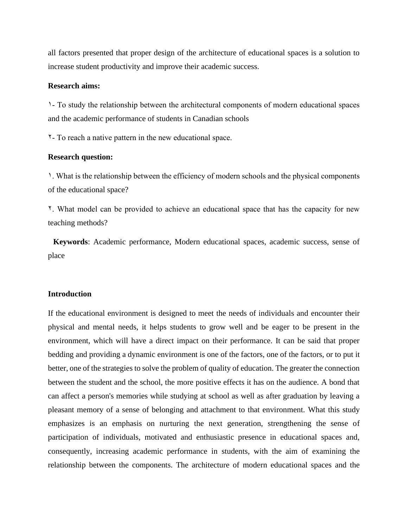all factors presented that proper design of the architecture of educational spaces is a solution to increase student productivity and improve their academic success.

### **Research aims:**

1- To study the relationship between the architectural components of modern educational spaces and the academic performance of students in Canadian schools

2- To reach a native pattern in the new educational space.

### **Research question:**

1. What is the relationship between the efficiency of modern schools and the physical components of the educational space?

2. What model can be provided to achieve an educational space that has the capacity for new teaching methods?

**Keywords**: Academic performance, Modern educational spaces, academic success, sense of place

### **Introduction**

If the educational environment is designed to meet the needs of individuals and encounter their physical and mental needs, it helps students to grow well and be eager to be present in the environment, which will have a direct impact on their performance. It can be said that proper bedding and providing a dynamic environment is one of the factors, one of the factors, or to put it better, one of the strategies to solve the problem of quality of education. The greater the connection between the student and the school, the more positive effects it has on the audience. A bond that can affect a person's memories while studying at school as well as after graduation by leaving a pleasant memory of a sense of belonging and attachment to that environment. What this study emphasizes is an emphasis on nurturing the next generation, strengthening the sense of participation of individuals, motivated and enthusiastic presence in educational spaces and, consequently, increasing academic performance in students, with the aim of examining the relationship between the components. The architecture of modern educational spaces and the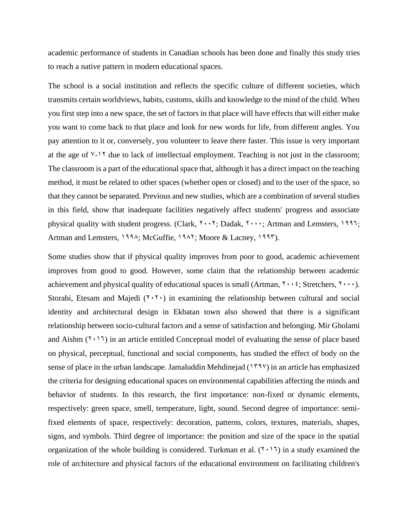academic performance of students in Canadian schools has been done and finally this study tries to reach a native pattern in modern educational spaces.

The school is a social institution and reflects the specific culture of different societies, which transmits certain worldviews, habits, customs, skills and knowledge to the mind of the child. When you first step into a new space, the set of factors in that place will have effects that will either make you want to come back to that place and look for new words for life, from different angles. You pay attention to it or, conversely, you volunteer to leave there faster. This issue is very important at the age of  $\sqrt{2}$  due to lack of intellectual employment. Teaching is not just in the classroom; The classroom is a part of the educational space that, although it has a direct impact on the teaching method, it must be related to other spaces (whether open or closed) and to the user of the space, so that they cannot be separated. Previous and new studies, which are a combination of several studies in this field, show that inadequate facilities negatively affect students' progress and associate physical quality with student progress. (Clark,  $\mathbf{Y} \cdot \mathbf{Y}$ ; Dadak,  $\mathbf{Y} \cdot \mathbf{Y}$ ; Artman and Lemsters, 1997; Artman and Lemsters, 1994; McGuffie, 1947; Moore & Lacney, 1997).

Some studies show that if physical quality improves from poor to good, academic achievement improves from good to good. However, some claim that the relationship between academic achievement and physical quality of educational spaces is small (Artman,  $\gamma \cdot \gamma$ ; Stretchers,  $\gamma \cdot \gamma$ ). Storabi, Etesam and Majedi  $(7 \cdot 7 \cdot)$  in examining the relationship between cultural and social identity and architectural design in Ekbatan town also showed that there is a significant relationship between socio-cultural factors and a sense of satisfaction and belonging. Mir Gholami and Aishm  $(1 \cdot 1)$  in an article entitled Conceptual model of evaluating the sense of place based on physical, perceptual, functional and social components, has studied the effect of body on the sense of place in the urban landscape. Jamaluddin Mehdinejad ( $14\%$ ) in an article has emphasized the criteria for designing educational spaces on environmental capabilities affecting the minds and behavior of students. In this research, the first importance: non-fixed or dynamic elements, respectively: green space, smell, temperature, light, sound. Second degree of importance: semifixed elements of space, respectively: decoration, patterns, colors, textures, materials, shapes, signs, and symbols. Third degree of importance: the position and size of the space in the spatial organization of the whole building is considered. Turkman et al.  $(1 \cdot 1)$  in a study examined the role of architecture and physical factors of the educational environment on facilitating children's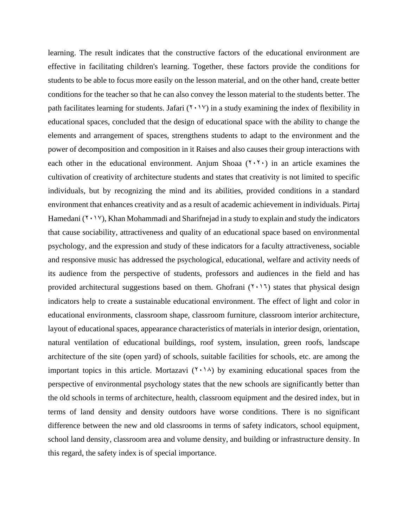learning. The result indicates that the constructive factors of the educational environment are effective in facilitating children's learning. Together, these factors provide the conditions for students to be able to focus more easily on the lesson material, and on the other hand, create better conditions for the teacher so that he can also convey the lesson material to the students better. The path facilitates learning for students. Jafari  $(2 \cdot 1)$  in a study examining the index of flexibility in educational spaces, concluded that the design of educational space with the ability to change the elements and arrangement of spaces, strengthens students to adapt to the environment and the power of decomposition and composition in it Raises and also causes their group interactions with each other in the educational environment. Anjum Shoaa  $(7 \cdot 7 \cdot)$  in an article examines the cultivation of creativity of architecture students and states that creativity is not limited to specific individuals, but by recognizing the mind and its abilities, provided conditions in a standard environment that enhances creativity and as a result of academic achievement in individuals. Pirtaj Hamedani  $(1 \cdot 1)$ , Khan Mohammadi and Sharifnejad in a study to explain and study the indicators that cause sociability, attractiveness and quality of an educational space based on environmental psychology, and the expression and study of these indicators for a faculty attractiveness, sociable and responsive music has addressed the psychological, educational, welfare and activity needs of its audience from the perspective of students, professors and audiences in the field and has provided architectural suggestions based on them. Ghofrani  $(1 \cdot 1)$  states that physical design indicators help to create a sustainable educational environment. The effect of light and color in educational environments, classroom shape, classroom furniture, classroom interior architecture, layout of educational spaces, appearance characteristics of materials in interior design, orientation, natural ventilation of educational buildings, roof system, insulation, green roofs, landscape architecture of the site (open yard) of schools, suitable facilities for schools, etc. are among the important topics in this article. Mortazavi  $(1 \cdot 1)$  by examining educational spaces from the perspective of environmental psychology states that the new schools are significantly better than the old schools in terms of architecture, health, classroom equipment and the desired index, but in terms of land density and density outdoors have worse conditions. There is no significant difference between the new and old classrooms in terms of safety indicators, school equipment, school land density, classroom area and volume density, and building or infrastructure density. In this regard, the safety index is of special importance.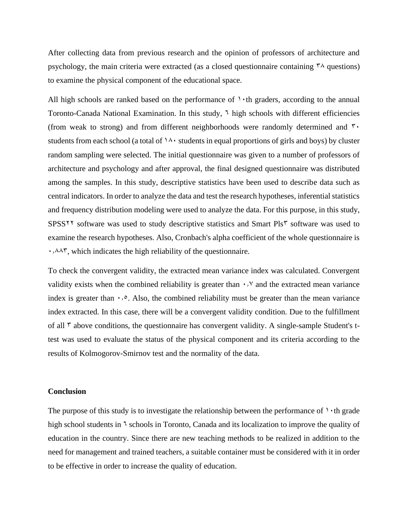After collecting data from previous research and the opinion of professors of architecture and psychology, the main criteria were extracted (as a closed questionnaire containing  $\gamma \wedge$  questions) to examine the physical component of the educational space.

All high schools are ranked based on the performance of  $\cdot \cdot$  th graders, according to the annual Toronto-Canada National Examination. In this study,  $\frac{1}{2}$  high schools with different efficiencies (from weak to strong) and from different neighborhoods were randomly determined and  $\mathbf{\tilde{v}}$ . students from each school (a total of  $14 \cdot$  students in equal proportions of girls and boys) by cluster random sampling were selected. The initial questionnaire was given to a number of professors of architecture and psychology and after approval, the final designed questionnaire was distributed among the samples. In this study, descriptive statistics have been used to describe data such as central indicators. In order to analyze the data and test the research hypotheses, inferential statistics and frequency distribution modeling were used to analyze the data. For this purpose, in this study, SPSS<sup>2</sup> software was used to study descriptive statistics and Smart Pls<sup> $\tau$ </sup> software was used to examine the research hypotheses. Also, Cronbach's alpha coefficient of the whole questionnaire is  $\cdot$ ,  $\wedge \wedge \wedge$ , which indicates the high reliability of the questionnaire.

To check the convergent validity, the extracted mean variance index was calculated. Convergent validity exists when the combined reliability is greater than  $\cdot$ ,  $\vee$  and the extracted mean variance index is greater than  $\cdot$ , $\circ$ . Also, the combined reliability must be greater than the mean variance index extracted. In this case, there will be a convergent validity condition. Due to the fulfillment of all  $\tau$  above conditions, the questionnaire has convergent validity. A single-sample Student's ttest was used to evaluate the status of the physical component and its criteria according to the results of Kolmogorov-Smirnov test and the normality of the data.

# **Conclusion**

The purpose of this study is to investigate the relationship between the performance of  $\cdot \cdot$ th grade high school students in  $\bar{\ }$  schools in Toronto, Canada and its localization to improve the quality of education in the country. Since there are new teaching methods to be realized in addition to the need for management and trained teachers, a suitable container must be considered with it in order to be effective in order to increase the quality of education.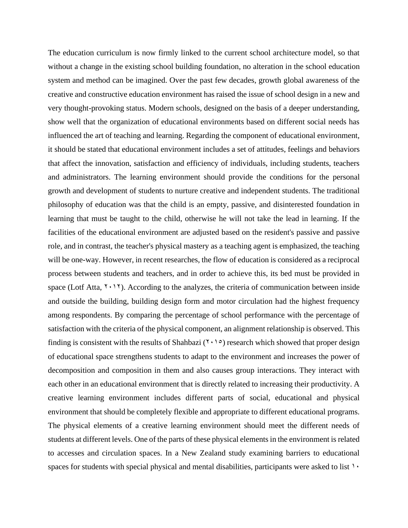The education curriculum is now firmly linked to the current school architecture model, so that without a change in the existing school building foundation, no alteration in the school education system and method can be imagined. Over the past few decades, growth global awareness of the creative and constructive education environment has raised the issue of school design in a new and very thought-provoking status. Modern schools, designed on the basis of a deeper understanding, show well that the organization of educational environments based on different social needs has influenced the art of teaching and learning. Regarding the component of educational environment, it should be stated that educational environment includes a set of attitudes, feelings and behaviors that affect the innovation, satisfaction and efficiency of individuals, including students, teachers and administrators. The learning environment should provide the conditions for the personal growth and development of students to nurture creative and independent students. The traditional philosophy of education was that the child is an empty, passive, and disinterested foundation in learning that must be taught to the child, otherwise he will not take the lead in learning. If the facilities of the educational environment are adjusted based on the resident's passive and passive role, and in contrast, the teacher's physical mastery as a teaching agent is emphasized, the teaching will be one-way. However, in recent researches, the flow of education is considered as a reciprocal process between students and teachers, and in order to achieve this, its bed must be provided in space (Lotf Atta,  $Y \cdot Y$ ). According to the analyzes, the criteria of communication between inside and outside the building, building design form and motor circulation had the highest frequency among respondents. By comparing the percentage of school performance with the percentage of satisfaction with the criteria of the physical component, an alignment relationship is observed. This finding is consistent with the results of Shahbazi ( $\gamma \rightarrow \infty$ ) research which showed that proper design of educational space strengthens students to adapt to the environment and increases the power of decomposition and composition in them and also causes group interactions. They interact with each other in an educational environment that is directly related to increasing their productivity. A creative learning environment includes different parts of social, educational and physical environment that should be completely flexible and appropriate to different educational programs. The physical elements of a creative learning environment should meet the different needs of students at different levels. One of the parts of these physical elements in the environment is related to accesses and circulation spaces. In a New Zealand study examining barriers to educational spaces for students with special physical and mental disabilities, participants were asked to list  $\cdots$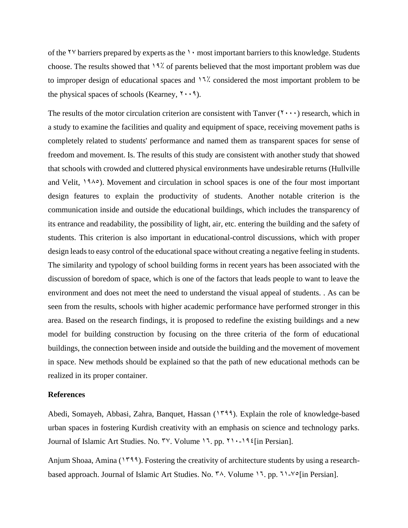of the  $\gamma \gamma$  barriers prepared by experts as the  $\gamma \gamma$  most important barriers to this knowledge. Students choose. The results showed that  $19\%$  of parents believed that the most important problem was due to improper design of educational spaces and  $17$ % considered the most important problem to be the physical spaces of schools (Kearney,  $\mathbf{Y} \cdot \mathbf{Y}$ ).

The results of the motor circulation criterion are consistent with Tanver  $(1 \cdots)$  research, which in a study to examine the facilities and quality and equipment of space, receiving movement paths is completely related to students' performance and named them as transparent spaces for sense of freedom and movement. Is. The results of this study are consistent with another study that showed that schools with crowded and cluttered physical environments have undesirable returns (Hullville and Velit,  $1940$ . Movement and circulation in school spaces is one of the four most important design features to explain the productivity of students. Another notable criterion is the communication inside and outside the educational buildings, which includes the transparency of its entrance and readability, the possibility of light, air, etc. entering the building and the safety of students. This criterion is also important in educational-control discussions, which with proper design leads to easy control of the educational space without creating a negative feeling in students. The similarity and typology of school building forms in recent years has been associated with the discussion of boredom of space, which is one of the factors that leads people to want to leave the environment and does not meet the need to understand the visual appeal of students. . As can be seen from the results, schools with higher academic performance have performed stronger in this area. Based on the research findings, it is proposed to redefine the existing buildings and a new model for building construction by focusing on the three criteria of the form of educational buildings, the connection between inside and outside the building and the movement of movement in space. New methods should be explained so that the path of new educational methods can be realized in its proper container.

### **References**

Abedi, Somayeh, Abbasi, Zahra, Banquet, Hassan (1799). Explain the role of knowledge-based urban spaces in fostering Kurdish creativity with an emphasis on science and technology parks. Journal of Islamic Art Studies. No.  $\forall y$ . Volume 17. pp.  $\forall y \in \exists \forall x$  [in Persian].

Anjum Shoaa, Amina ( $1799$ ). Fostering the creativity of architecture students by using a researchbased approach. Journal of Islamic Art Studies. No.  $\frac{4}{3}$ . Volume 17. pp. 71-Yo [in Persian].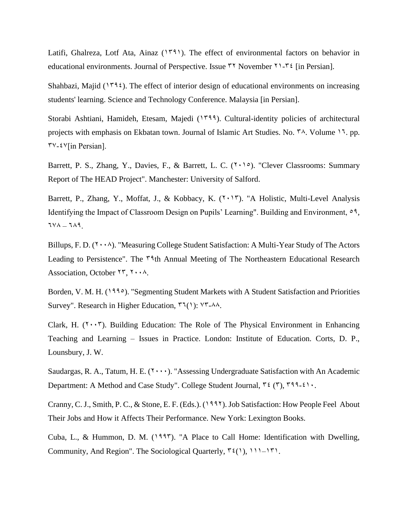Latifi, Ghalreza, Lotf Ata, Ainaz  $(179)$ . The effect of environmental factors on behavior in educational environments. Journal of Perspective. Issue  $\tau \tau$  November  $\tau$ 1- $\tau \tau$  [in Persian].

Shahbazi, Majid ( $179\xi$ ). The effect of interior design of educational environments on increasing students' learning. Science and Technology Conference. Malaysia [in Persian].

Storabi Ashtiani, Hamideh, Etesam, Majedi (1<sup>999</sup>). Cultural-identity policies of architectural projects with emphasis on Ekbatan town. Journal of Islamic Art Studies. No.  $\gamma$ . Volume 17. pp.  $\forall y \in \forall$ [in Persian].

Barrett, P. S., Zhang, Y., Davies, F., & Barrett, L. C.  $(7 \cdot 1)$ . "Clever Classrooms: Summary Report of The HEAD Project". Manchester: University of Salford.

Barrett, P., Zhang, Y., Moffat, J., & Kobbacy, K.  $(7 \cdot 17)$ . "A Holistic, Multi-Level Analysis Identifying the Impact of Classroom Design on Pupils' Learning". Building and Environment, 59,  $TVA = TAA$ .

Billups, F. D.  $(7 \cdot \cdot \wedge)$ . "Measuring College Student Satisfaction: A Multi-Year Study of The Actors Leading to Persistence". The  $\zeta^3$ th Annual Meeting of The Northeastern Educational Research Association, October  $\Upsilon \Upsilon$ ,  $\Upsilon \cdot \Lambda$ .

Borden, V. M. H. (1990). "Segmenting Student Markets with A Student Satisfaction and Priorities Survey". Research in Higher Education,  $\mathcal{F}(\mathcal{N})$ :  $\mathcal{N}^2$ - $\mathcal{N}\mathcal{N}$ .

Clark, H.  $(Y \cdot Y)$ . Building Education: The Role of The Physical Environment in Enhancing Teaching and Learning – Issues in Practice. London: Institute of Education. Corts, D. P., Lounsbury, J. W.

Saudargas, R. A., Tatum, H. E.  $(Y \cdot y)$ . "Assessing Undergraduate Satisfaction with An Academic Department: A Method and Case Study". College Student Journal,  $\tilde{r}$  ( $\tilde{r}$ ),  $\tilde{r}$ 99-410.

Cranny, C. J., Smith, P. C., & Stone, E. F. (Eds.). (1992). Job Satisfaction: How People Feel About Their Jobs and How it Affects Their Performance. New York: Lexington Books.

Cuba, L., & Hummon, D. M.  $(1997)$ . "A Place to Call Home: Identification with Dwelling, Community, And Region". The Sociological Quarterly,  $\tilde{\tau}(\cdot)$ ,  $\tilde{\tau}(\cdot)$ ,  $\tilde{\tau}(\cdot)$ ,  $\tilde{\tau}(\cdot)$ .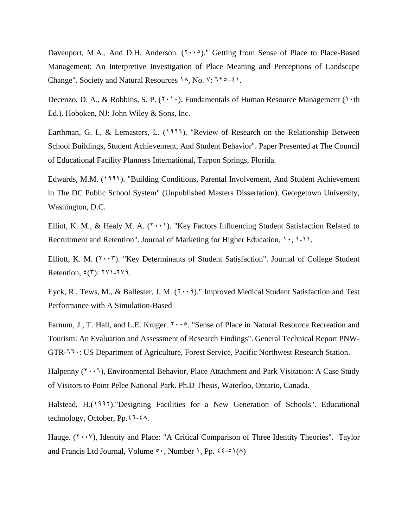Davenport, M.A., And D.H. Anderson.  $(7 \cdot \cdot \circ)$ ." Getting from Sense of Place to Place-Based Management: An Interpretive Investigation of Place Meaning and Perceptions of Landscape Change". Society and Natural Resources  $\lambda$ , No.  $\lambda$ :  $\lambda$ <sup>o</sup> =  $\lambda$ ).

Decenzo, D. A., & Robbins, S. P.  $(7 \cdot 1)$ . Fundamentals of Human Resource Management (10th Ed.). Hoboken, NJ: John Wiley & Sons, Inc.

Earthman, G. I., & Lemasters, L. (1995). "Review of Research on the Relationship Between School Buildings, Student Achievement, And Student Behavior". Paper Presented at The Council of Educational Facility Planners International, Tarpon Springs, Florida.

Edwards, M.M. (1995). "Building Conditions, Parental Involvement, And Student Achievement in The DC Public School System" (Unpublished Masters Dissertation). Georgetown University, Washington, D.C.

Elliot, K. M., & Healy M. A.  $(7 \cdot \cdot)$ . "Key Factors Influencing Student Satisfaction Related to Recruitment and Retention". Journal of Marketing for Higher Education,  $1, 1, 1, 1$ .

Elliott, K. M.  $(Y \cdot Y)$ . "Key Determinants of Student Satisfaction". Journal of College Student Retention,  $\mathcal{E}(\mathbf{y})$ :  $\mathbf{y} \cdot \mathbf{y}$ .

Eyck, R., Tews, M., & Ballester, J. M.  $(7 \cdot \cdot 9)$ ." Improved Medical Student Satisfaction and Test Performance with A Simulation-Based

Farnum, J., T. Hall, and L.E. Kruger.  $\forall \cdot \cdot \circ$ . "Sense of Place in Natural Resource Recreation and Tourism: An Evaluation and Assessment of Research Findings". General Technical Report PNW-GTR-660: US Department of Agriculture, Forest Service, Pacific Northwest Research Station.

Halpenny  $(7 \cdot 7)$ , Environmental Behavior, Place Attachment and Park Visitation: A Case Study of Visitors to Point Pelee National Park. Ph.D Thesis, Waterloo, Ontario, Canada.

Halstead, H.(1997)."Designing Facilities for a New Generation of Schools". Educational technology, October, Pp. $5\overline{4}$ - $5\overline{4}$ .

Hauge.  $(Y \cdot Y)$ , Identity and Place: "A Critical Comparison of Three Identity Theories". Taylor and Francis Ltd Journal, Volume  $\circ \cdot$ , Number 1, Pp.  $\circ \circ \circ$ 1(A)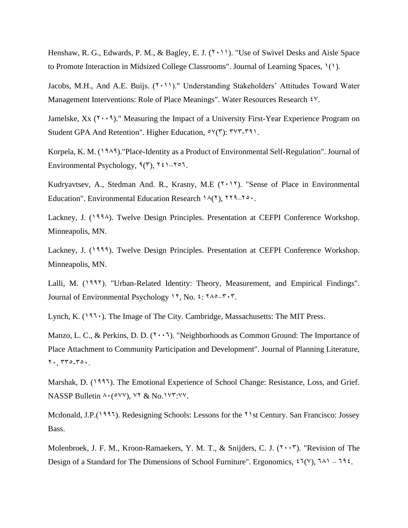Henshaw, R. G., Edwards, P. M., & Bagley, E. J.  $(7 \cdot 11)$ . "Use of Swivel Desks and Aisle Space to Promote Interaction in Midsized College Classrooms". Journal of Learning Spaces, 1(1).

Jacobs, M.H., And A.E. Buijs. (7,11)." Understanding Stakeholders' Attitudes Toward Water Management Interventions: Role of Place Meanings". Water Resources Research  $\mathcal{N}$ .

Jamelske,  $Xx$  ( $Y \cdot Y$ )." Measuring the Impact of a University First-Year Experience Program on Student GPA And Retention". Higher Education,  $\circ \vee (\tau)$ :  $\tau \vee \tau$ - $\tau \triangleleft \wedge$ .

Korpela, K. M.  $(19.49)$ . "Place-Identity as a Product of Environmental Self-Regulation". Journal of Environmental Psychology,  $9(7)$ ,  $721-707$ .

Kudryavtsev, A., Stedman And. R., Krasny, M.E  $(7 \cdot 17)$ . "Sense of Place in Environmental Education". Environmental Education Research  $\Lambda(Y)$ ,  $YY^q$ <sup>- $\Lambda$ o.</sup>.

Lackney, J. (1994). Twelve Design Principles. Presentation at CEFPI Conference Workshop. Minneapolis, MN.

Lackney, J. (1999). Twelve Design Principles. Presentation at CEFPI Conference Workshop. Minneapolis, MN.

Lalli, M. (1997). "Urban-Related Identity: Theory, Measurement, and Empirical Findings". Journal of Environmental Psychology 11, No.  $\epsilon$ :  $\gamma \sim -\gamma \cdot \gamma$ .

Lynch, K. ( $197 \cdot$ ). The Image of The City. Cambridge, Massachusetts: The MIT Press.

Manzo, L. C., & Perkins, D. D.  $(Y \cdot Y)$ . "Neighborhoods as Common Ground: The Importance of Place Attachment to Community Participation and Development". Journal of Planning Literature,  $Y \cdot 770 - 50 \cdot 1$ 

Marshak, D. (1995). The Emotional Experience of School Change: Resistance, Loss, and Grief. NASSP Bulletin  $\land \land$  ( $\circ \lor \lor$ ),  $\lor \lor \&$  No.  $\lor \lor \lor \lor \lor$ .

Mcdonald, J.P.<sup>(1997</sup>). Redesigning Schools: Lessons for the <sup>21</sup>st Century. San Francisco: Jossey Bass.

Molenbroek, J. F. M., Kroon-Ramaekers, Y. M. T., & Snijders, C. J.  $(7 \cdot \cdot 7)$ . "Revision of The Design of a Standard for The Dimensions of School Furniture". Ergonomics,  $\mathcal{F}(\gamma)$ ,  $\mathcal{F}(\gamma) = \mathcal{F}(\gamma)$ .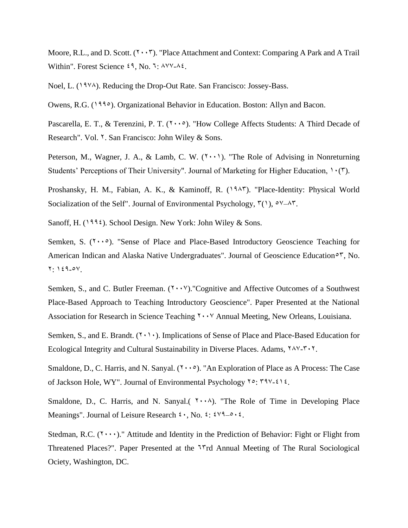Moore, R.L., and D. Scott.  $(7 \cdot \cdot 7)$ . "Place Attachment and Context: Comparing A Park and A Trail Within". Forest Science  $\zeta$ <sup>9</sup>, No. 7:  $\lambda$ YY- $\lambda \zeta$ .

Noel, L. (1978). Reducing the Drop-Out Rate. San Francisco: Jossey-Bass.

Owens, R.G. (1995). Organizational Behavior in Education. Boston: Allyn and Bacon.

Pascarella, E. T., & Terenzini, P. T.  $(1 \cdot \cdot \circ)$ . "How College Affects Students: A Third Decade of Research". Vol. <sup>Y</sup>. San Francisco: John Wiley & Sons.

Peterson, M., Wagner, J. A., & Lamb, C. W.  $(2 \cdot \cdot \cdot)$ . "The Role of Advising in Nonreturning Students' Perceptions of Their University". Journal of Marketing for Higher Education,  $\Upsilon(\mathbf{x})$ .

Proshansky, H. M., Fabian, A. K., & Kaminoff, R. (1945). "Place-Identity: Physical World Socialization of the Self". Journal of Environmental Psychology,  $\zeta(1)$ ,  $\zeta(3)$ ,  $\zeta(4)$ ,

Sanoff, H. (1994). School Design. New York: John Wiley & Sons.

Semken, S.  $(1 \cdot \cdot \circ)$ . "Sense of Place and Place-Based Introductory Geoscience Teaching for American Indican and Alaska Native Undergraduates". Journal of Geoscience Education $\circ$ <sup>r</sup>, No.  $Y: Y \in \mathcal{A} \cup \mathcal{A}$ .

Semken, S., and C. Butler Freeman.  $(Y \cdot Y)$ ."Cognitive and Affective Outcomes of a Southwest Place-Based Approach to Teaching Introductory Geoscience". Paper Presented at the National Association for Research in Science Teaching  $\gamma \cdot \gamma$  Annual Meeting, New Orleans, Louisiana.

Semken, S., and E. Brandt.  $(1 \cdot 1)$ . Implications of Sense of Place and Place-Based Education for Ecological Integrity and Cultural Sustainability in Diverse Places. Adams,  $YAY - YY$ .

Smaldone, D., C. Harris, and N. Sanyal.  $(1 \cdot \cdot \circ)$ . "An Exploration of Place as A Process: The Case of Jackson Hole, WY". Journal of Environmental Psychology  $\forall \circ : \forall \forall x \in \mathcal{X}$ .

Smaldone, D., C. Harris, and N. Sanyal.  $(\gamma \cdot \cdot \lambda)$ . "The Role of Time in Developing Place Meanings". Journal of Leisure Research  $\mathfrak{c}$ . No.  $\mathfrak{c}$ :  $\mathfrak{c} \vee \mathfrak{q}_{-\mathfrak{0}}$ .

Stedman, R.C.  $(1 \cdot \cdot \cdot)$ ." Attitude and Identity in the Prediction of Behavior: Fight or Flight from Threatened Places?". Paper Presented at the <sup>17</sup>rd Annual Meeting of The Rural Sociological Ociety, Washington, DC.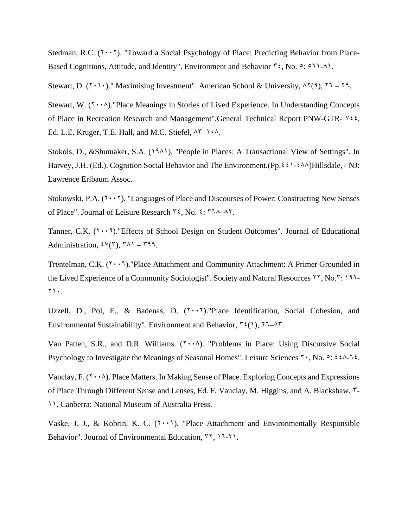Stedman, R.C.  $(Y \cdot Y)$ . "Toward a Social Psychology of Place: Predicting Behavior from Place-Based Cognitions, Attitude, and Identity". Environment and Behavior  $\tilde{\tau}$ , No.  $\circ$ :  $\circ$ 11-41.

Stewart, D. ( $\gamma$ ,  $\gamma$ )." Maximising Investment". American School & University,  $\gamma$ (9),  $\gamma$  =  $\gamma$ 9.

Stewart, W.  $(Y \cdot \cdot \wedge)$ ."Place Meanings in Stories of Lived Experience. In Understanding Concepts of Place in Recreation Research and Management".General Technical Report PNW-GTR-  $\forall i$ , Ed. L.E. Kruger, T.E. Hall, and M.C. Stiefel,  $\Lambda^{\nu}$   $\rightarrow$   $\Lambda$ .

Stokols, D., &Shumaker, S.A. (1981). "People in Places: A Transactional View of Settings". In Harvey, J.H. (Ed.). Cognition Social Behavior and The Environment.(Pp.  $\sharp \sharp \dashv \sharp \dashv \sharp \land \land$ )Hillsdale, - NJ: Lawrence Erlbaum Assoc.

Stokowski, P.A.  $(7 \cdot \cdot 7)$ . "Languages of Place and Discourses of Power: Constructing New Senses of Place". Journal of Leisure Research  $\tilde{\tau}$ , No.  $\tilde{\tau}$ :  $\tilde{\tau}$ 14.

Tanner, C.K.  $(1 \cdot \cdot 1)$ . Effects of School Design on Student Outcomes". Journal of Educational Administration,  $\mathcal{W}(\mathcal{T})$ ,  $\mathcal{T}(\mathcal{N})$  –  $\mathcal{T}(\mathcal{N})$ .

Trentelman, C.K.  $(Y \cdot \cdot 9)$ . "Place Attachment and Community Attachment: A Primer Grounded in the Lived Experience of a Community Sociologist". Society and Natural Resources 11, No.<sup>1</sup>: 191- $Y \cdot$ .

Uzzell, D., Pol, E., & Badenas, D.  $(1 \cdot \cdot 7)$ . "Place Identification, Social Cohesion, and Environmental Sustainability". Environment and Behavior,  $\mathbf{r}(\cdot)$ ,  $\mathbf{r}(-\mathbf{r})$ .

Van Patten, S.R., and D.R. Williams.  $(1 \cdot \cdot \cdot)$ . "Problems in Place: Using Discursive Social Psychology to Investigate the Meanings of Seasonal Homes". Leisure Sciences  $\mathbf{r} \cdot$ , No.  $\circ$ :  $\mathbf{f} \cdot \mathbf{A} \cdot \mathbf{A} \cdot \mathbf{A}$ .

Vanclay, F.  $(Y \cdot \cdot \wedge)$ . Place Matters. In Making Sense of Place. Exploring Concepts and Expressions of Place Through Different Sense and Lenses, Ed. F. Vanclay, M. Higgins, and A. Blackshaw, 3- 11. Canberra: National Museum of Australia Press.

Vaske, J. J., & Kobrin, K. C.  $(7 \cdot \cdot)$ . "Place Attachment and Environmentally Responsible Behavior". Journal of Environmental Education,  $\forall \lambda$ ,  $\lambda$ <sub>-</sub> $\lambda$ <sub>1</sub>.